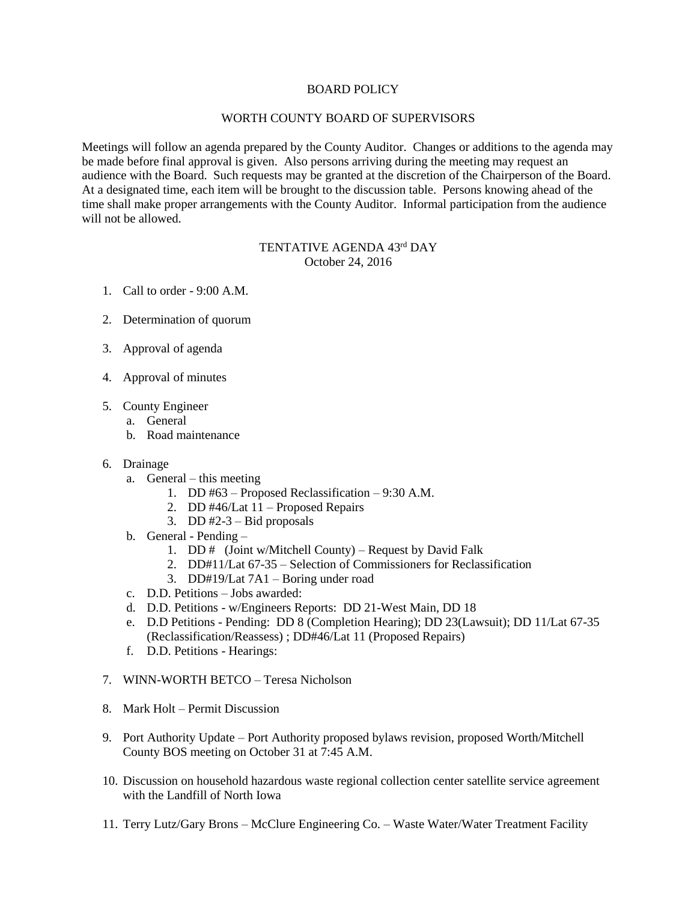## BOARD POLICY

## WORTH COUNTY BOARD OF SUPERVISORS

Meetings will follow an agenda prepared by the County Auditor. Changes or additions to the agenda may be made before final approval is given. Also persons arriving during the meeting may request an audience with the Board. Such requests may be granted at the discretion of the Chairperson of the Board. At a designated time, each item will be brought to the discussion table. Persons knowing ahead of the time shall make proper arrangements with the County Auditor. Informal participation from the audience will not be allowed.

## TENTATIVE AGENDA 43rd DAY October 24, 2016

- 1. Call to order 9:00 A.M.
- 2. Determination of quorum
- 3. Approval of agenda
- 4. Approval of minutes
- 5. County Engineer
	- a. General
	- b. Road maintenance
- 6. Drainage
	- a. General this meeting
		- 1. DD #63 Proposed Reclassification 9:30 A.M.
		- 2. DD #46/Lat 11 Proposed Repairs
		- 3. DD  $#2-3$  Bid proposals
	- b. General Pending
		- 1. DD # (Joint w/Mitchell County) Request by David Falk
		- 2. DD#11/Lat 67-35 Selection of Commissioners for Reclassification
		- 3. DD#19/Lat 7A1 Boring under road
	- c. D.D. Petitions Jobs awarded:
	- d. D.D. Petitions w/Engineers Reports: DD 21-West Main, DD 18
	- e. D.D Petitions Pending: DD 8 (Completion Hearing); DD 23(Lawsuit); DD 11/Lat 67-35 (Reclassification/Reassess) ; DD#46/Lat 11 (Proposed Repairs)
	- f. D.D. Petitions Hearings:
- 7. WINN-WORTH BETCO Teresa Nicholson
- 8. Mark Holt Permit Discussion
- 9. Port Authority Update Port Authority proposed bylaws revision, proposed Worth/Mitchell County BOS meeting on October 31 at 7:45 A.M.
- 10. Discussion on household hazardous waste regional collection center satellite service agreement with the Landfill of North Iowa
- 11. Terry Lutz/Gary Brons McClure Engineering Co. Waste Water/Water Treatment Facility